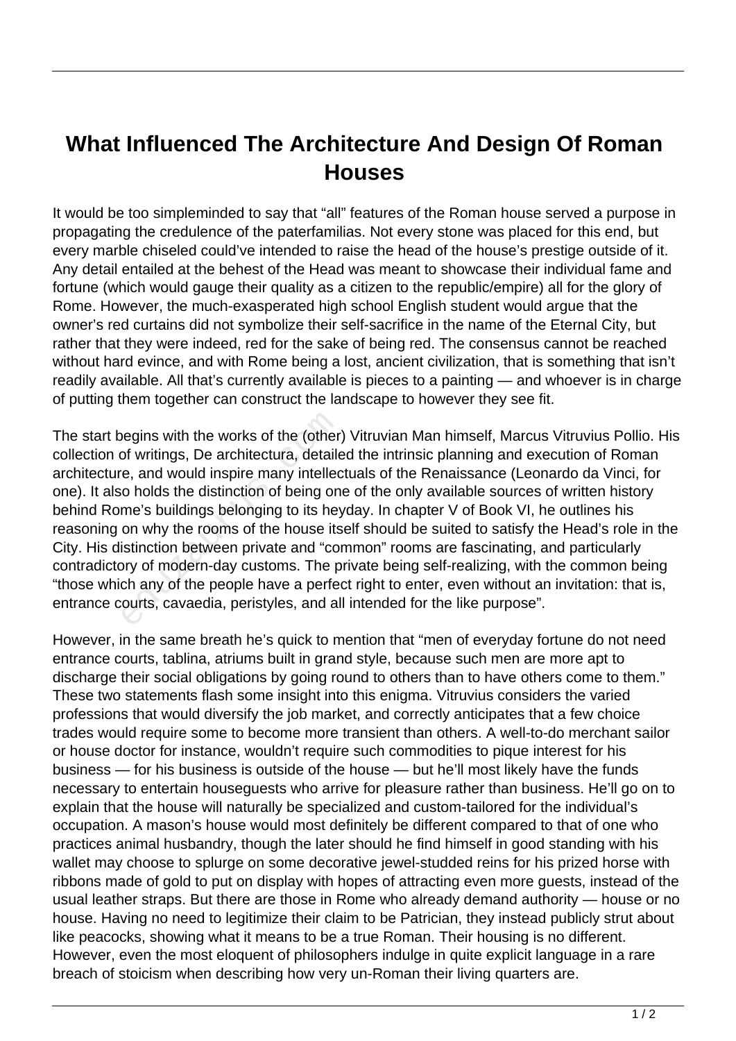## **What Influenced The Architecture And Design Of Roman Houses**

It would be too simpleminded to say that "all" features of the Roman house served a purpose in propagating the credulence of the paterfamilias. Not every stone was placed for this end, but every marble chiseled could've intended to raise the head of the house's prestige outside of it. Any detail entailed at the behest of the Head was meant to showcase their individual fame and fortune (which would gauge their quality as a citizen to the republic/empire) all for the glory of Rome. However, the much-exasperated high school English student would argue that the owner's red curtains did not symbolize their self-sacrifice in the name of the Eternal City, but rather that they were indeed, red for the sake of being red. The consensus cannot be reached without hard evince, and with Rome being a lost, ancient civilization, that is something that isn't readily available. All that's currently available is pieces to a painting — and whoever is in charge of putting them together can construct the landscape to however they see fit.

The start begins with the works of the (other) Vitruvian Man himself, Marcus Vitruvius Pollio. His collection of writings, De architectura, detailed the intrinsic planning and execution of Roman architecture, and would inspire many intellectuals of the Renaissance (Leonardo da Vinci, for one). It also holds the distinction of being one of the only available sources of written history behind Rome's buildings belonging to its heyday. In chapter V of Book VI, he outlines his reasoning on why the rooms of the house itself should be suited to satisfy the Head's role in the City. His distinction between private and "common" rooms are fascinating, and particularly contradictory of modern-day customs. The private being self-realizing, with the common being "those which any of the people have a perfect right to enter, even without an invitation: that is, entrance courts, cavaedia, peristyles, and all intended for the like purpose". begins with the works of the (other<br>of writings, De architectura, detaile<br>e, and would inspire many intelled<br>o holds the distinction of being on<br>me's buildings belonging to its hey<br>on why the rooms of the house its<br>istinct

However, in the same breath he's quick to mention that "men of everyday fortune do not need entrance courts, tablina, atriums built in grand style, because such men are more apt to discharge their social obligations by going round to others than to have others come to them." These two statements flash some insight into this enigma. Vitruvius considers the varied professions that would diversify the job market, and correctly anticipates that a few choice trades would require some to become more transient than others. A well-to-do merchant sailor or house doctor for instance, wouldn't require such commodities to pique interest for his business — for his business is outside of the house — but he'll most likely have the funds necessary to entertain houseguests who arrive for pleasure rather than business. He'll go on to explain that the house will naturally be specialized and custom-tailored for the individual's occupation. A mason's house would most definitely be different compared to that of one who practices animal husbandry, though the later should he find himself in good standing with his wallet may choose to splurge on some decorative jewel-studded reins for his prized horse with ribbons made of gold to put on display with hopes of attracting even more guests, instead of the usual leather straps. But there are those in Rome who already demand authority — house or no house. Having no need to legitimize their claim to be Patrician, they instead publicly strut about like peacocks, showing what it means to be a true Roman. Their housing is no different. However, even the most eloquent of philosophers indulge in quite explicit language in a rare breach of stoicism when describing how very un-Roman their living quarters are.